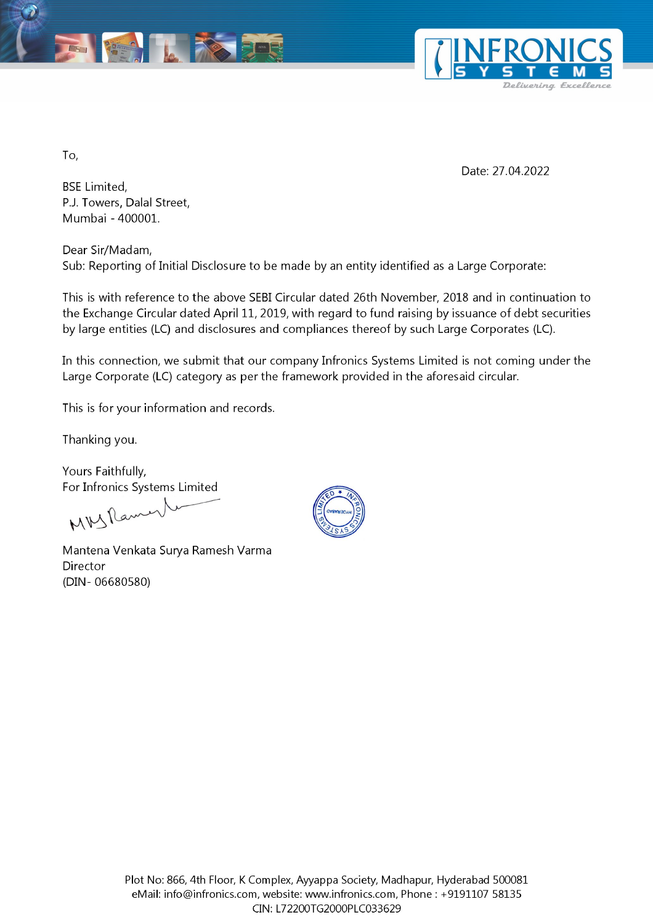



To,

Date: 27.04.2022

BSE Limited, P.J. Towers, Dalal Street, Mumbai - 400001.

Dear Sir/Madam, Sub: Reporting of Initial Disclosure to be made by an entity identified as a Large Corporate:

This is with reference to the above SEBI Circular d<br>the Exchange Circular dated April 11, 2019, with re<br>by large entities (LC) and disclosures and complia<br>In this connection, we submit that our company I<br>Large Corporate ( This is with reference to the above SEBI Circular dated 26th November, 2018 and in continuation to the Exchange Circular dated April 11, 2019, with regard to fund raising by issuance of debt securities by large entities (LC) and disclosures and compliances thereof by such Large Corporates (LC).

In this connection, we submit that our company Infronics Systems Limited is not coming under the Large Corporate (LC) category as per the framework provided in the aforesaid circular.

This is for your information and records.

Thanking you.

Yours Faithfully, For Infronics Systems Limited

MMSRamen

Mantena Venkata Surya Ramesh Varma Director (DIN- 06680580)